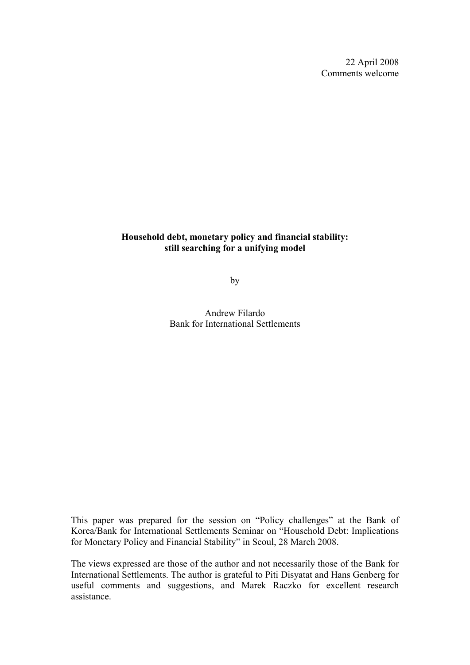22 April 2008 Comments welcome

# **Household debt, monetary policy and financial stability: still searching for a unifying model**

by

Andrew Filardo Bank for International Settlements

This paper was prepared for the session on "Policy challenges" at the Bank of Korea/Bank for International Settlements Seminar on "Household Debt: Implications for Monetary Policy and Financial Stability" in Seoul, 28 March 2008.

The views expressed are those of the author and not necessarily those of the Bank for International Settlements. The author is grateful to Piti Disyatat and Hans Genberg for useful comments and suggestions, and Marek Raczko for excellent research assistance.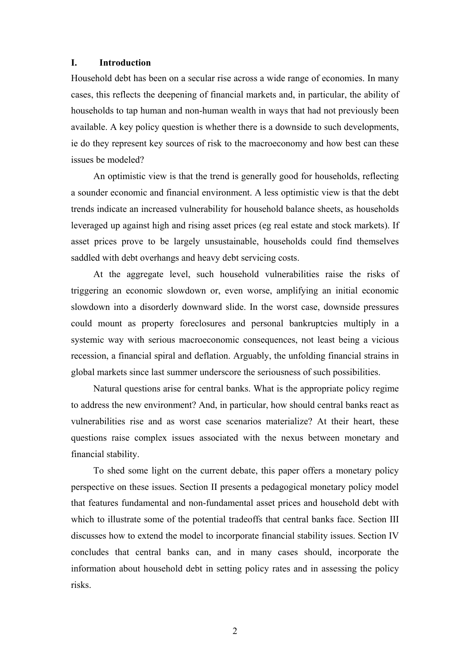## **I. Introduction**

Household debt has been on a secular rise across a wide range of economies. In many cases, this reflects the deepening of financial markets and, in particular, the ability of households to tap human and non-human wealth in ways that had not previously been available. A key policy question is whether there is a downside to such developments, ie do they represent key sources of risk to the macroeconomy and how best can these issues be modeled?

An optimistic view is that the trend is generally good for households, reflecting a sounder economic and financial environment. A less optimistic view is that the debt trends indicate an increased vulnerability for household balance sheets, as households leveraged up against high and rising asset prices (eg real estate and stock markets). If asset prices prove to be largely unsustainable, households could find themselves saddled with debt overhangs and heavy debt servicing costs.

At the aggregate level, such household vulnerabilities raise the risks of triggering an economic slowdown or, even worse, amplifying an initial economic slowdown into a disorderly downward slide. In the worst case, downside pressures could mount as property foreclosures and personal bankruptcies multiply in a systemic way with serious macroeconomic consequences, not least being a vicious recession, a financial spiral and deflation. Arguably, the unfolding financial strains in global markets since last summer underscore the seriousness of such possibilities.

Natural questions arise for central banks. What is the appropriate policy regime to address the new environment? And, in particular, how should central banks react as vulnerabilities rise and as worst case scenarios materialize? At their heart, these questions raise complex issues associated with the nexus between monetary and financial stability.

To shed some light on the current debate, this paper offers a monetary policy perspective on these issues. Section II presents a pedagogical monetary policy model that features fundamental and non-fundamental asset prices and household debt with which to illustrate some of the potential tradeoffs that central banks face. Section III discusses how to extend the model to incorporate financial stability issues. Section IV concludes that central banks can, and in many cases should, incorporate the information about household debt in setting policy rates and in assessing the policy risks.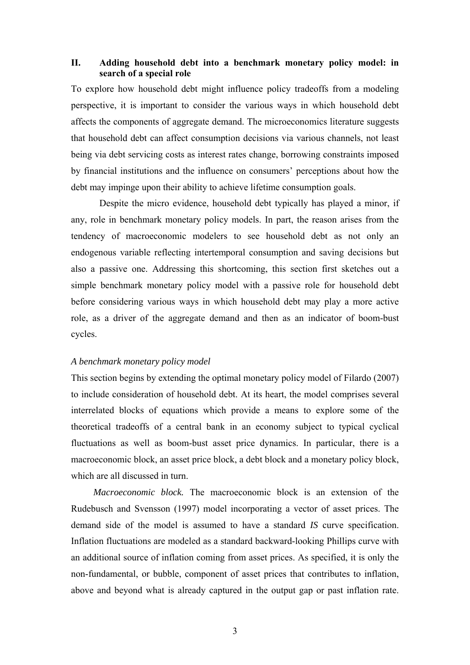## **II. Adding household debt into a benchmark monetary policy model: in search of a special role**

To explore how household debt might influence policy tradeoffs from a modeling perspective, it is important to consider the various ways in which household debt affects the components of aggregate demand. The microeconomics literature suggests that household debt can affect consumption decisions via various channels, not least being via debt servicing costs as interest rates change, borrowing constraints imposed by financial institutions and the influence on consumers' perceptions about how the debt may impinge upon their ability to achieve lifetime consumption goals.

Despite the micro evidence, household debt typically has played a minor, if any, role in benchmark monetary policy models. In part, the reason arises from the tendency of macroeconomic modelers to see household debt as not only an endogenous variable reflecting intertemporal consumption and saving decisions but also a passive one. Addressing this shortcoming, this section first sketches out a simple benchmark monetary policy model with a passive role for household debt before considering various ways in which household debt may play a more active role, as a driver of the aggregate demand and then as an indicator of boom-bust cycles.

#### *A benchmark monetary policy model*

This section begins by extending the optimal monetary policy model of Filardo (2007) to include consideration of household debt. At its heart, the model comprises several interrelated blocks of equations which provide a means to explore some of the theoretical tradeoffs of a central bank in an economy subject to typical cyclical fluctuations as well as boom-bust asset price dynamics. In particular, there is a macroeconomic block, an asset price block, a debt block and a monetary policy block, which are all discussed in turn.

*Macroeconomic block.* The macroeconomic block is an extension of the Rudebusch and Svensson (1997) model incorporating a vector of asset prices. The demand side of the model is assumed to have a standard *IS* curve specification. Inflation fluctuations are modeled as a standard backward-looking Phillips curve with an additional source of inflation coming from asset prices. As specified, it is only the non-fundamental, or bubble, component of asset prices that contributes to inflation, above and beyond what is already captured in the output gap or past inflation rate.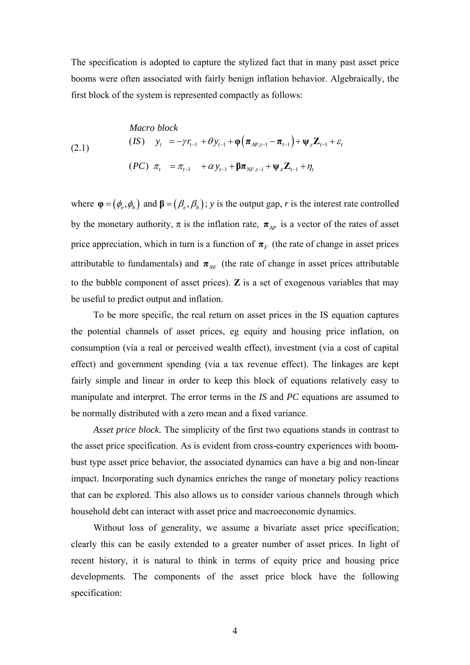The specification is adopted to capture the stylized fact that in many past asset price booms were often associated with fairly benign inflation behavior. Algebraically, the first block of the system is represented compactly as follows:

(2.1)  
\n*Macro block*  
\n(*IS*) 
$$
y_t = -\gamma r_{t-1} + \theta y_{t-1} + \varphi (\pi_{AP,t-1} - \pi_{t-1}) + \psi_y \mathbf{Z}_{t-1} + \varepsilon_t
$$
  
\n(*PC*)  $\pi_t = \pi_{t-1} + \alpha y_{t-1} + \beta \pi_{NF,t-1} + \psi_{\pi} \mathbf{Z}_{t-1} + \eta_t$ 

where  $\varphi = (\phi_e, \phi_h)$  and  $\beta = (\beta_e, \beta_h)$ ; *y* is the output gap, *r* is the interest rate controlled by the monetary authority,  $\pi$  is the inflation rate,  $\pi_{AP}$  is a vector of the rates of asset price appreciation, which in turn is a function of  $\pi_F$  (the rate of change in asset prices attributable to fundamentals) and  $\pi_{NF}$  (the rate of change in asset prices attributable to the bubble component of asset prices). **Z** is a set of exogenous variables that may be useful to predict output and inflation.

To be more specific, the real return on asset prices in the IS equation captures the potential channels of asset prices, eg equity and housing price inflation, on consumption (via a real or perceived wealth effect), investment (via a cost of capital effect) and government spending (via a tax revenue effect). The linkages are kept fairly simple and linear in order to keep this block of equations relatively easy to manipulate and interpret. The error terms in the *IS* and *PC* equations are assumed to be normally distributed with a zero mean and a fixed variance.

*Asset price block.* The simplicity of the first two equations stands in contrast to the asset price specification. As is evident from cross-country experiences with boombust type asset price behavior, the associated dynamics can have a big and non-linear impact. Incorporating such dynamics enriches the range of monetary policy reactions that can be explored. This also allows us to consider various channels through which household debt can interact with asset price and macroeconomic dynamics.

Without loss of generality, we assume a bivariate asset price specification; clearly this can be easily extended to a greater number of asset prices. In light of recent history, it is natural to think in terms of equity price and housing price developments. The components of the asset price block have the following specification: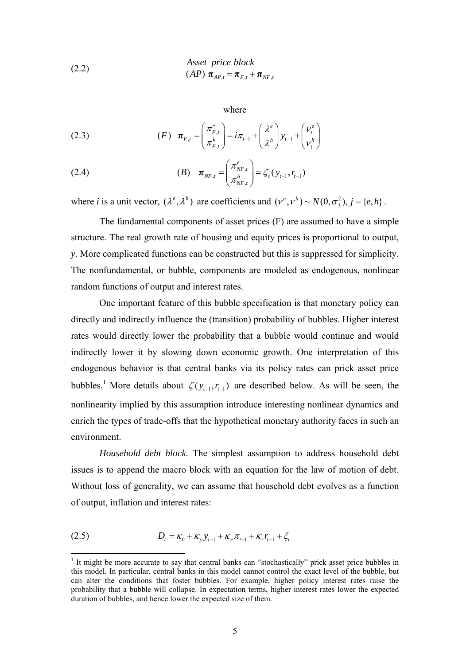(2.2) *Asset price block*  

$$
(AP) \pi_{AP,t} = \pi_{F,t} + \pi_{NF,t}
$$

where

(2.3) 
$$
(F) \boldsymbol{\pi}_{F,t} = \begin{pmatrix} \pi_{F,t}^e \\ \pi_{F,t}^h \end{pmatrix} = i\pi_{t-1} + \begin{pmatrix} \lambda^e \\ \lambda^h \end{pmatrix} y_{t-1} + \begin{pmatrix} v_t^e \\ v_t^h \end{pmatrix}
$$

(2.4) 
$$
\boldsymbol{\pi}_{NF,t} = \begin{pmatrix} \pi_{NF,t}^e \\ \pi_{NF,t}^h \end{pmatrix} = \zeta_t(y_{t-1}, r_{t-1})
$$

where *i* is a unit vector,  $(\lambda^e, \lambda^h)$  are coefficients and  $(v^e, v^h) \sim N(0, \sigma_i^2), j = \{e, h\}$ .

 The fundamental components of asset prices (F) are assumed to have a simple structure. The real growth rate of housing and equity prices is proportional to output, *y*. More complicated functions can be constructed but this is suppressed for simplicity. The nonfundamental, or bubble, components are modeled as endogenous, nonlinear random functions of output and interest rates.

 One important feature of this bubble specification is that monetary policy can directly and indirectly influence the (transition) probability of bubbles. Higher interest rates would directly lower the probability that a bubble would continue and would indirectly lower it by slowing down economic growth. One interpretation of this endogenous behavior is that central banks via its policy rates can prick asset price bubbles.<sup>1</sup> More details about  $\zeta(y_{t-1}, r_{t-1})$  are described below. As will be seen, the nonlinearity implied by this assumption introduce interesting nonlinear dynamics and enrich the types of trade-offs that the hypothetical monetary authority faces in such an environment.

*Household debt block.* The simplest assumption to address household debt issues is to append the macro block with an equation for the law of motion of debt. Without loss of generality, we can assume that household debt evolves as a function of output, inflation and interest rates:

(2.5) 
$$
D_t = \kappa_0 + \kappa_y y_{t-1} + \kappa_x \pi_{t-1} + \kappa_r r_{t-1} + \xi_t
$$

<sup>&</sup>lt;sup>1</sup> It might be more accurate to say that central banks can "stochastically" prick asset price bubbles in this model. In particular, central banks in this model cannot control the exact level of the bubble, but can alter the conditions that foster bubbles. For example, higher policy interest rates raise the probability that a bubble will collapse. In expectation terms, higher interest rates lower the expected duration of bubbles, and hence lower the expected size of them.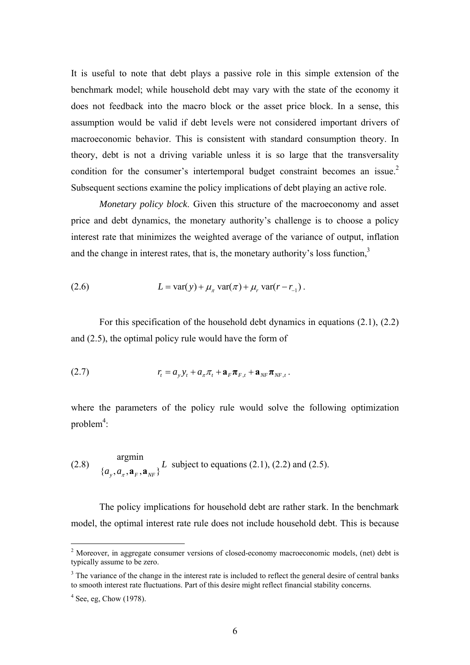It is useful to note that debt plays a passive role in this simple extension of the benchmark model; while household debt may vary with the state of the economy it does not feedback into the macro block or the asset price block. In a sense, this assumption would be valid if debt levels were not considered important drivers of macroeconomic behavior. This is consistent with standard consumption theory. In theory, debt is not a driving variable unless it is so large that the transversality condition for the consumer's intertemporal budget constraint becomes an issue.<sup>2</sup> Subsequent sections examine the policy implications of debt playing an active role.

*Monetary policy block*. Given this structure of the macroeconomy and asset price and debt dynamics, the monetary authority's challenge is to choose a policy interest rate that minimizes the weighted average of the variance of output, inflation and the change in interest rates, that is, the monetary authority's loss function.<sup>3</sup>

(2.6) 
$$
L = \text{var}(y) + \mu_{\pi} \, \text{var}(\pi) + \mu_{r} \, \text{var}(r - r_{-1}).
$$

For this specification of the household debt dynamics in equations (2.1), (2.2) and (2.5), the optimal policy rule would have the form of

(2.7) 
$$
r_t = a_y y_t + a_\pi \pi_t + \mathbf{a}_F \mathbf{\pi}_{F,t} + \mathbf{a}_{NF} \mathbf{\pi}_{NF,t}.
$$

where the parameters of the policy rule would solve the following optimization  $problem<sup>4</sup>$ :

(2.8) 
$$
\underset{\{a_y, a_\pi, \mathbf{a}_F, \mathbf{a}_{NF}\}}{\text{argmin}} L \text{ subject to equations (2.1), (2.2) and (2.5).}
$$

 The policy implications for household debt are rather stark. In the benchmark model, the optimal interest rate rule does not include household debt. This is because

<sup>&</sup>lt;sup>2</sup> Moreover, in aggregate consumer versions of closed-economy macroeconomic models, (net) debt is typically assume to be zero.

<sup>&</sup>lt;sup>3</sup> The variance of the change in the interest rate is included to reflect the general desire of central banks to smooth interest rate fluctuations. Part of this desire might reflect financial stability concerns.

 $4$  See, eg, Chow (1978).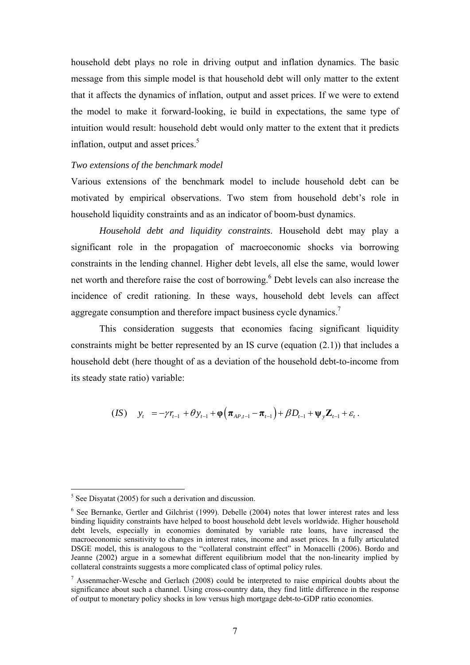household debt plays no role in driving output and inflation dynamics. The basic message from this simple model is that household debt will only matter to the extent that it affects the dynamics of inflation, output and asset prices. If we were to extend the model to make it forward-looking, ie build in expectations, the same type of intuition would result: household debt would only matter to the extent that it predicts inflation, output and asset prices.<sup>5</sup>

#### *Two extensions of the benchmark model*

Various extensions of the benchmark model to include household debt can be motivated by empirical observations. Two stem from household debt's role in household liquidity constraints and as an indicator of boom-bust dynamics.

*Household debt and liquidity constraints*. Household debt may play a significant role in the propagation of macroeconomic shocks via borrowing constraints in the lending channel. Higher debt levels, all else the same, would lower net worth and therefore raise the cost of borrowing.<sup>6</sup> Debt levels can also increase the incidence of credit rationing. In these ways, household debt levels can affect aggregate consumption and therefore impact business cycle dynamics.<sup>7</sup>

This consideration suggests that economies facing significant liquidity constraints might be better represented by an IS curve (equation (2.1)) that includes a household debt (here thought of as a deviation of the household debt-to-income from its steady state ratio) variable:

$$
(IS) \t y_t = -\gamma r_{t-1} + \theta y_{t-1} + \varphi \Big( \pi_{AP,t-1} - \pi_{t-1} \Big) + \beta D_{t-1} + \psi_y \mathbb{Z}_{t-1} + \varepsilon_t.
$$

 $\frac{5}{5}$  See Disyatat (2005) for such a derivation and discussion.

<sup>&</sup>lt;sup>6</sup> See Bernanke, Gertler and Gilchrist (1999). Debelle (2004) notes that lower interest rates and less binding liquidity constraints have helped to boost household debt levels worldwide. Higher household debt levels, especially in economies dominated by variable rate loans, have increased the macroeconomic sensitivity to changes in interest rates, income and asset prices. In a fully articulated DSGE model, this is analogous to the "collateral constraint effect" in Monacelli (2006). Bordo and Jeanne (2002) argue in a somewhat different equilibrium model that the non-linearity implied by collateral constraints suggests a more complicated class of optimal policy rules.

 $<sup>7</sup>$  Assenmacher-Wesche and Gerlach (2008) could be interpreted to raise empirical doubts about the</sup> significance about such a channel. Using cross-country data, they find little difference in the response of output to monetary policy shocks in low versus high mortgage debt-to-GDP ratio economies.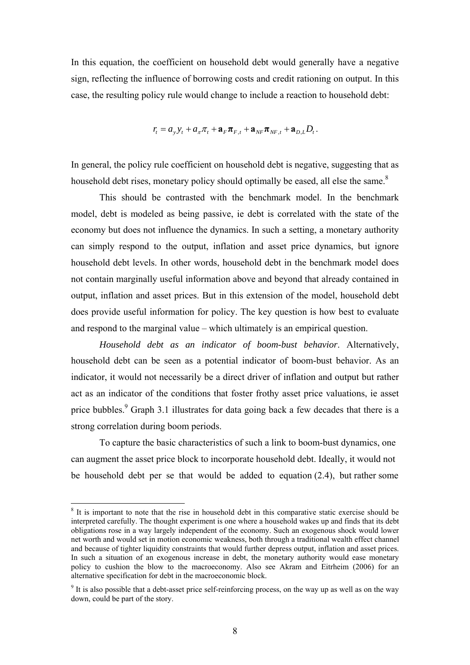In this equation, the coefficient on household debt would generally have a negative sign, reflecting the influence of borrowing costs and credit rationing on output. In this case, the resulting policy rule would change to include a reaction to household debt:

$$
r_{t} = a_{y} y_{t} + a_{\pi} \pi_{t} + \mathbf{a}_{F} \pi_{F,t} + \mathbf{a}_{NF} \pi_{NF,t} + \mathbf{a}_{D,L} D_{t}.
$$

In general, the policy rule coefficient on household debt is negative, suggesting that as household debt rises, monetary policy should optimally be eased, all else the same. $8$ 

 This should be contrasted with the benchmark model. In the benchmark model, debt is modeled as being passive, ie debt is correlated with the state of the economy but does not influence the dynamics. In such a setting, a monetary authority can simply respond to the output, inflation and asset price dynamics, but ignore household debt levels. In other words, household debt in the benchmark model does not contain marginally useful information above and beyond that already contained in output, inflation and asset prices. But in this extension of the model, household debt does provide useful information for policy. The key question is how best to evaluate and respond to the marginal value – which ultimately is an empirical question.

*Household debt as an indicator of boom-bust behavior*. Alternatively, household debt can be seen as a potential indicator of boom-bust behavior. As an indicator, it would not necessarily be a direct driver of inflation and output but rather act as an indicator of the conditions that foster frothy asset price valuations, ie asset price bubbles.<sup>9</sup> Graph 3.1 illustrates for data going back a few decades that there is a strong correlation during boom periods.

To capture the basic characteristics of such a link to boom-bust dynamics, one can augment the asset price block to incorporate household debt. Ideally, it would not be household debt per se that would be added to equation (2.4), but rather some

<sup>&</sup>lt;sup>8</sup> It is important to note that the rise in household debt in this comparative static exercise should be interpreted carefully. The thought experiment is one where a household wakes up and finds that its debt obligations rose in a way largely independent of the economy. Such an exogenous shock would lower net worth and would set in motion economic weakness, both through a traditional wealth effect channel and because of tighter liquidity constraints that would further depress output, inflation and asset prices. In such a situation of an exogenous increase in debt, the monetary authority would ease monetary policy to cushion the blow to the macroeconomy. Also see Akram and Eitrheim (2006) for an alternative specification for debt in the macroeconomic block.

<sup>&</sup>lt;sup>9</sup> It is also possible that a debt-asset price self-reinforcing process, on the way up as well as on the way down, could be part of the story.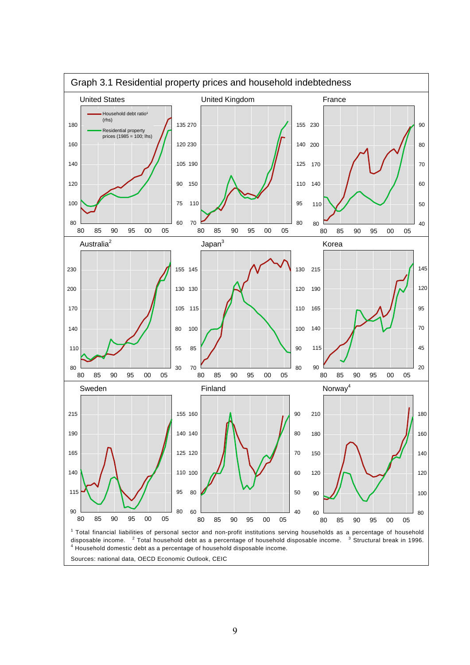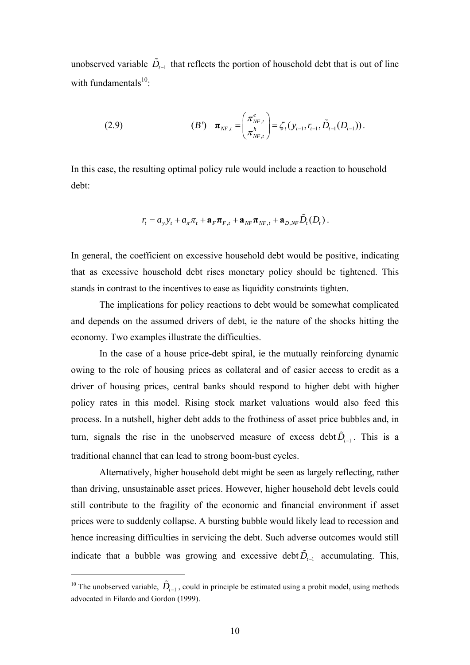unobserved variable  $\tilde{D}_{t-1}$  that reflects the portion of household debt that is out of line with fundamentals $^{10}$ :

(2.9) 
$$
\boldsymbol{\pi}_{NF,t} = \begin{pmatrix} \pi_{NF,t}^e \\ \pi_{NF,t}^h \end{pmatrix} = \zeta_t (y_{t-1}, r_{t-1}, \tilde{D}_{t-1} (D_{t-1})).
$$

In this case, the resulting optimal policy rule would include a reaction to household debt:

$$
r_{t} = a_{y} y_{t} + a_{\pi} \pi_{t} + \mathbf{a}_{F} \pi_{F,t} + \mathbf{a}_{NF} \pi_{NF,t} + \mathbf{a}_{D,NF} \tilde{D}_{t}(D_{t}).
$$

In general, the coefficient on excessive household debt would be positive, indicating that as excessive household debt rises monetary policy should be tightened. This stands in contrast to the incentives to ease as liquidity constraints tighten.

The implications for policy reactions to debt would be somewhat complicated and depends on the assumed drivers of debt, ie the nature of the shocks hitting the economy. Two examples illustrate the difficulties.

In the case of a house price-debt spiral, ie the mutually reinforcing dynamic owing to the role of housing prices as collateral and of easier access to credit as a driver of housing prices, central banks should respond to higher debt with higher policy rates in this model. Rising stock market valuations would also feed this process. In a nutshell, higher debt adds to the frothiness of asset price bubbles and, in turn, signals the rise in the unobserved measure of excess debt  $\tilde{D}_{r-1}$ . This is a traditional channel that can lead to strong boom-bust cycles.

Alternatively, higher household debt might be seen as largely reflecting, rather than driving, unsustainable asset prices. However, higher household debt levels could still contribute to the fragility of the economic and financial environment if asset prices were to suddenly collapse. A bursting bubble would likely lead to recession and hence increasing difficulties in servicing the debt. Such adverse outcomes would still indicate that a bubble was growing and excessive debt  $\tilde{D}_{t-1}$  accumulating. This,

<sup>&</sup>lt;sup>10</sup> The unobserved variable,  $\tilde{D}_{t-1}$ , could in principle be estimated using a probit model, using methods advocated in Filardo and Gordon (1999).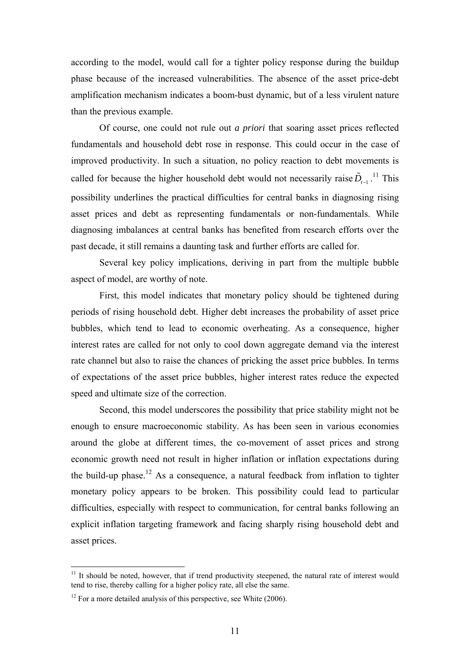according to the model, would call for a tighter policy response during the buildup phase because of the increased vulnerabilities. The absence of the asset price-debt amplification mechanism indicates a boom-bust dynamic, but of a less virulent nature than the previous example.

Of course, one could not rule out *a priori* that soaring asset prices reflected fundamentals and household debt rose in response. This could occur in the case of improved productivity. In such a situation, no policy reaction to debt movements is called for because the higher household debt would not necessarily raise  $\tilde{D}_{t-1}$ <sup>11</sup>. This possibility underlines the practical difficulties for central banks in diagnosing rising asset prices and debt as representing fundamentals or non-fundamentals. While diagnosing imbalances at central banks has benefited from research efforts over the past decade, it still remains a daunting task and further efforts are called for.

Several key policy implications, deriving in part from the multiple bubble aspect of model, are worthy of note.

 First, this model indicates that monetary policy should be tightened during periods of rising household debt. Higher debt increases the probability of asset price bubbles, which tend to lead to economic overheating. As a consequence, higher interest rates are called for not only to cool down aggregate demand via the interest rate channel but also to raise the chances of pricking the asset price bubbles. In terms of expectations of the asset price bubbles, higher interest rates reduce the expected speed and ultimate size of the correction.

Second, this model underscores the possibility that price stability might not be enough to ensure macroeconomic stability. As has been seen in various economies around the globe at different times, the co-movement of asset prices and strong economic growth need not result in higher inflation or inflation expectations during the build-up phase.<sup>12</sup> As a consequence, a natural feedback from inflation to tighter monetary policy appears to be broken. This possibility could lead to particular difficulties, especially with respect to communication, for central banks following an explicit inflation targeting framework and facing sharply rising household debt and asset prices.

 $11$  It should be noted, however, that if trend productivity steepened, the natural rate of interest would tend to rise, thereby calling for a higher policy rate, all else the same.

 $12$  For a more detailed analysis of this perspective, see White (2006).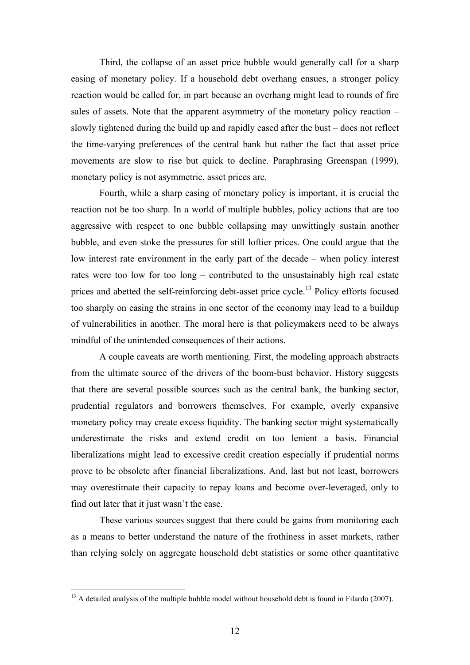Third, the collapse of an asset price bubble would generally call for a sharp easing of monetary policy. If a household debt overhang ensues, a stronger policy reaction would be called for, in part because an overhang might lead to rounds of fire sales of assets. Note that the apparent asymmetry of the monetary policy reaction – slowly tightened during the build up and rapidly eased after the bust – does not reflect the time-varying preferences of the central bank but rather the fact that asset price movements are slow to rise but quick to decline. Paraphrasing Greenspan (1999), monetary policy is not asymmetric, asset prices are.

Fourth, while a sharp easing of monetary policy is important, it is crucial the reaction not be too sharp. In a world of multiple bubbles, policy actions that are too aggressive with respect to one bubble collapsing may unwittingly sustain another bubble, and even stoke the pressures for still loftier prices. One could argue that the low interest rate environment in the early part of the decade – when policy interest rates were too low for too long – contributed to the unsustainably high real estate prices and abetted the self-reinforcing debt-asset price cycle.<sup>13</sup> Policy efforts focused too sharply on easing the strains in one sector of the economy may lead to a buildup of vulnerabilities in another. The moral here is that policymakers need to be always mindful of the unintended consequences of their actions.

A couple caveats are worth mentioning. First, the modeling approach abstracts from the ultimate source of the drivers of the boom-bust behavior. History suggests that there are several possible sources such as the central bank, the banking sector, prudential regulators and borrowers themselves. For example, overly expansive monetary policy may create excess liquidity. The banking sector might systematically underestimate the risks and extend credit on too lenient a basis. Financial liberalizations might lead to excessive credit creation especially if prudential norms prove to be obsolete after financial liberalizations. And, last but not least, borrowers may overestimate their capacity to repay loans and become over-leveraged, only to find out later that it just wasn't the case.

These various sources suggest that there could be gains from monitoring each as a means to better understand the nature of the frothiness in asset markets, rather than relying solely on aggregate household debt statistics or some other quantitative

 $13$  A detailed analysis of the multiple bubble model without household debt is found in Filardo (2007).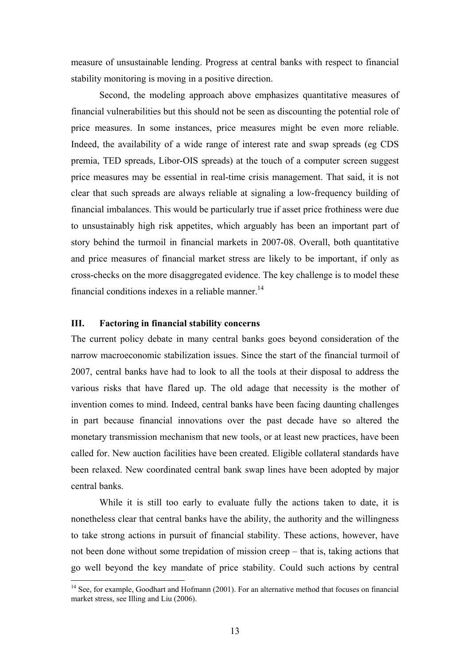measure of unsustainable lending. Progress at central banks with respect to financial stability monitoring is moving in a positive direction.

Second, the modeling approach above emphasizes quantitative measures of financial vulnerabilities but this should not be seen as discounting the potential role of price measures. In some instances, price measures might be even more reliable. Indeed, the availability of a wide range of interest rate and swap spreads (eg CDS premia, TED spreads, Libor-OIS spreads) at the touch of a computer screen suggest price measures may be essential in real-time crisis management. That said, it is not clear that such spreads are always reliable at signaling a low-frequency building of financial imbalances. This would be particularly true if asset price frothiness were due to unsustainably high risk appetites, which arguably has been an important part of story behind the turmoil in financial markets in 2007-08. Overall, both quantitative and price measures of financial market stress are likely to be important, if only as cross-checks on the more disaggregated evidence. The key challenge is to model these financial conditions indexes in a reliable manner.<sup>14</sup>

## **III. Factoring in financial stability concerns**

1

The current policy debate in many central banks goes beyond consideration of the narrow macroeconomic stabilization issues. Since the start of the financial turmoil of 2007, central banks have had to look to all the tools at their disposal to address the various risks that have flared up. The old adage that necessity is the mother of invention comes to mind. Indeed, central banks have been facing daunting challenges in part because financial innovations over the past decade have so altered the monetary transmission mechanism that new tools, or at least new practices, have been called for. New auction facilities have been created. Eligible collateral standards have been relaxed. New coordinated central bank swap lines have been adopted by major central banks.

While it is still too early to evaluate fully the actions taken to date, it is nonetheless clear that central banks have the ability, the authority and the willingness to take strong actions in pursuit of financial stability. These actions, however, have not been done without some trepidation of mission creep – that is, taking actions that go well beyond the key mandate of price stability. Could such actions by central

<sup>&</sup>lt;sup>14</sup> See, for example, Goodhart and Hofmann (2001). For an alternative method that focuses on financial market stress, see Illing and Liu (2006).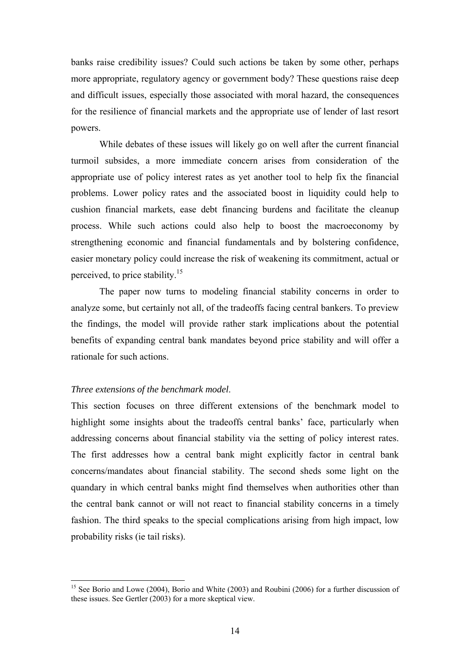banks raise credibility issues? Could such actions be taken by some other, perhaps more appropriate, regulatory agency or government body? These questions raise deep and difficult issues, especially those associated with moral hazard, the consequences for the resilience of financial markets and the appropriate use of lender of last resort powers.

While debates of these issues will likely go on well after the current financial turmoil subsides, a more immediate concern arises from consideration of the appropriate use of policy interest rates as yet another tool to help fix the financial problems. Lower policy rates and the associated boost in liquidity could help to cushion financial markets, ease debt financing burdens and facilitate the cleanup process. While such actions could also help to boost the macroeconomy by strengthening economic and financial fundamentals and by bolstering confidence, easier monetary policy could increase the risk of weakening its commitment, actual or perceived, to price stability.15

The paper now turns to modeling financial stability concerns in order to analyze some, but certainly not all, of the tradeoffs facing central bankers. To preview the findings, the model will provide rather stark implications about the potential benefits of expanding central bank mandates beyond price stability and will offer a rationale for such actions.

#### *Three extensions of the benchmark model*.

1

This section focuses on three different extensions of the benchmark model to highlight some insights about the tradeoffs central banks' face, particularly when addressing concerns about financial stability via the setting of policy interest rates. The first addresses how a central bank might explicitly factor in central bank concerns/mandates about financial stability. The second sheds some light on the quandary in which central banks might find themselves when authorities other than the central bank cannot or will not react to financial stability concerns in a timely fashion. The third speaks to the special complications arising from high impact, low probability risks (ie tail risks).

<sup>&</sup>lt;sup>15</sup> See Borio and Lowe (2004), Borio and White (2003) and Roubini (2006) for a further discussion of these issues. See Gertler (2003) for a more skeptical view.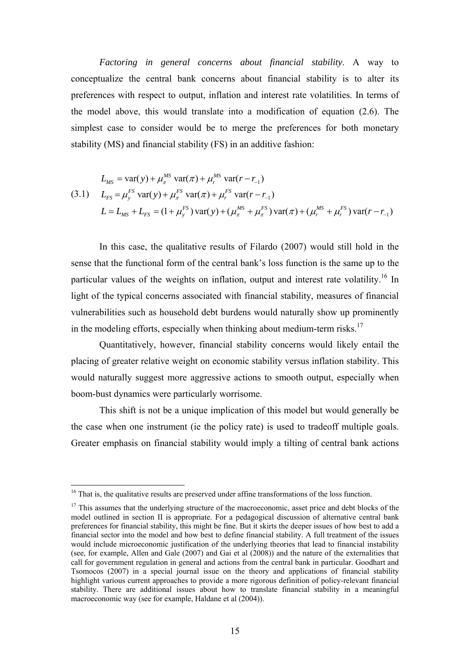*Factoring in general concerns about financial stability*. A way to conceptualize the central bank concerns about financial stability is to alter its preferences with respect to output, inflation and interest rate volatilities. In terms of the model above, this would translate into a modification of equation (2.6). The simplest case to consider would be to merge the preferences for both monetary stability (MS) and financial stability (FS) in an additive fashion:

$$
L_{MS} = \text{var}(y) + \mu_{\pi}^{MS} \text{ var}(\pi) + \mu_{r}^{MS} \text{ var}(r - r_{-1})
$$
  
(3.1) 
$$
L_{FS} = \mu_{y}^{FS} \text{ var}(y) + \mu_{\pi}^{FS} \text{ var}(\pi) + \mu_{r}^{FS} \text{ var}(r - r_{-1})
$$

$$
L = L_{MS} + L_{FS} = (1 + \mu_{y}^{FS}) \text{ var}(y) + (\mu_{\pi}^{MS} + \mu_{\pi}^{FS}) \text{ var}(\pi) + (\mu_{r}^{MS} + \mu_{r}^{FS}) \text{ var}(r - r_{-1})
$$

In this case, the qualitative results of Filardo (2007) would still hold in the sense that the functional form of the central bank's loss function is the same up to the particular values of the weights on inflation, output and interest rate volatility.<sup>16</sup> In light of the typical concerns associated with financial stability, measures of financial vulnerabilities such as household debt burdens would naturally show up prominently in the modeling efforts, especially when thinking about medium-term risks.<sup>17</sup>

Quantitatively, however, financial stability concerns would likely entail the placing of greater relative weight on economic stability versus inflation stability. This would naturally suggest more aggressive actions to smooth output, especially when boom-bust dynamics were particularly worrisome.

This shift is not be a unique implication of this model but would generally be the case when one instrument (ie the policy rate) is used to tradeoff multiple goals. Greater emphasis on financial stability would imply a tilting of central bank actions

<u>.</u>

<sup>&</sup>lt;sup>16</sup> That is, the qualitative results are preserved under affine transformations of the loss function.

 $17$  This assumes that the underlying structure of the macroeconomic, asset price and debt blocks of the model outlined in section II is appropriate. For a pedagogical discussion of alternative central bank preferences for financial stability, this might be fine. But it skirts the deeper issues of how best to add a financial sector into the model and how best to define financial stability. A full treatment of the issues would include microeconomic justification of the underlying theories that lead to financial instability (see, for example, Allen and Gale (2007) and Gai et al (2008)) and the nature of the externalities that call for government regulation in general and actions from the central bank in particular. Goodhart and Tsomocos (2007) in a special journal issue on the theory and applications of financial stability highlight various current approaches to provide a more rigorous definition of policy-relevant financial stability. There are additional issues about how to translate financial stability in a meaningful macroeconomic way (see for example, Haldane et al (2004)).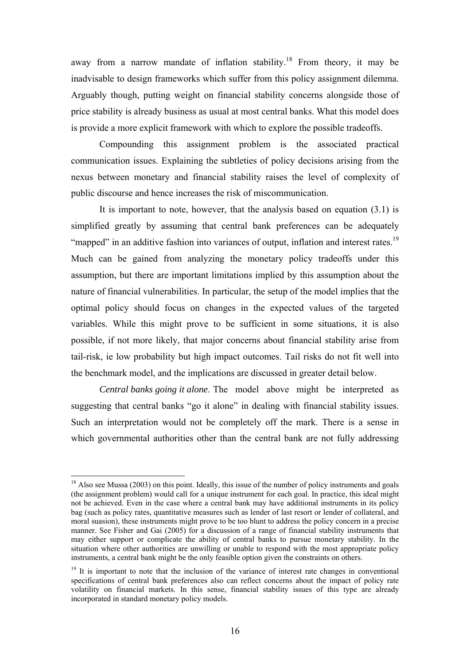away from a narrow mandate of inflation stability.<sup>18</sup> From theory, it may be inadvisable to design frameworks which suffer from this policy assignment dilemma. Arguably though, putting weight on financial stability concerns alongside those of price stability is already business as usual at most central banks. What this model does is provide a more explicit framework with which to explore the possible tradeoffs.

Compounding this assignment problem is the associated practical communication issues. Explaining the subtleties of policy decisions arising from the nexus between monetary and financial stability raises the level of complexity of public discourse and hence increases the risk of miscommunication.

 It is important to note, however, that the analysis based on equation (3.1) is simplified greatly by assuming that central bank preferences can be adequately "mapped" in an additive fashion into variances of output, inflation and interest rates.<sup>19</sup> Much can be gained from analyzing the monetary policy tradeoffs under this assumption, but there are important limitations implied by this assumption about the nature of financial vulnerabilities. In particular, the setup of the model implies that the optimal policy should focus on changes in the expected values of the targeted variables. While this might prove to be sufficient in some situations, it is also possible, if not more likely, that major concerns about financial stability arise from tail-risk, ie low probability but high impact outcomes. Tail risks do not fit well into the benchmark model, and the implications are discussed in greater detail below.

*Central banks going it alone*. The model above might be interpreted as suggesting that central banks "go it alone" in dealing with financial stability issues. Such an interpretation would not be completely off the mark. There is a sense in which governmental authorities other than the central bank are not fully addressing

 $18$  Also see Mussa (2003) on this point. Ideally, this issue of the number of policy instruments and goals (the assignment problem) would call for a unique instrument for each goal. In practice, this ideal might not be achieved. Even in the case where a central bank may have additional instruments in its policy bag (such as policy rates, quantitative measures such as lender of last resort or lender of collateral, and moral suasion), these instruments might prove to be too blunt to address the policy concern in a precise manner. See Fisher and Gai (2005) for a discussion of a range of financial stability instruments that may either support or complicate the ability of central banks to pursue monetary stability. In the situation where other authorities are unwilling or unable to respond with the most appropriate policy instruments, a central bank might be the only feasible option given the constraints on others.

<sup>&</sup>lt;sup>19</sup> It is important to note that the inclusion of the variance of interest rate changes in conventional specifications of central bank preferences also can reflect concerns about the impact of policy rate volatility on financial markets. In this sense, financial stability issues of this type are already incorporated in standard monetary policy models.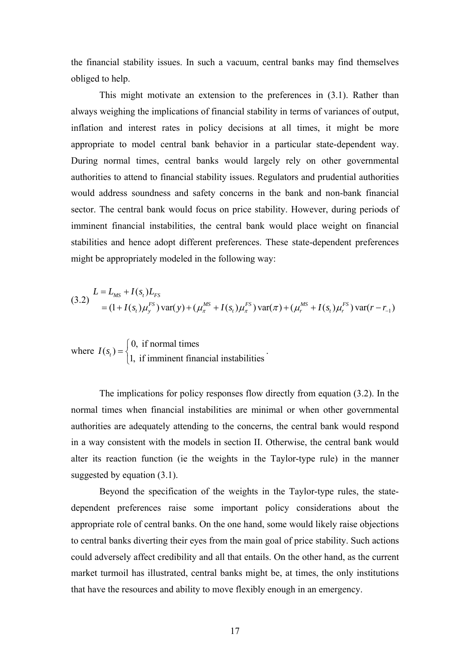the financial stability issues. In such a vacuum, central banks may find themselves obliged to help.

 This might motivate an extension to the preferences in (3.1). Rather than always weighing the implications of financial stability in terms of variances of output, inflation and interest rates in policy decisions at all times, it might be more appropriate to model central bank behavior in a particular state-dependent way. During normal times, central banks would largely rely on other governmental authorities to attend to financial stability issues. Regulators and prudential authorities would address soundness and safety concerns in the bank and non-bank financial sector. The central bank would focus on price stability. However, during periods of imminent financial instabilities, the central bank would place weight on financial stabilities and hence adopt different preferences. These state-dependent preferences might be appropriately modeled in the following way:

$$
(3.2)\ \n\begin{aligned}\n&L = L_{MS} + I(s_t)L_{FS} \\
&= (1 + I(s_t)\mu_s^{FS})\text{var}(y) + (\mu_{\pi}^{MS} + I(s_t)\mu_{\pi}^{FS})\text{var}(\pi) + (\mu_{r}^{MS} + I(s_t)\mu_{r}^{FS})\text{var}(r - r_{-1})\n\end{aligned}
$$

.

where  $I(s_t) = \begin{cases} 0, & \text{if normal times} \\ 1, & \text{if imminent financial instabilities} \end{cases}$ 

 The implications for policy responses flow directly from equation (3.2). In the normal times when financial instabilities are minimal or when other governmental authorities are adequately attending to the concerns, the central bank would respond in a way consistent with the models in section II. Otherwise, the central bank would alter its reaction function (ie the weights in the Taylor-type rule) in the manner suggested by equation  $(3.1)$ .

Beyond the specification of the weights in the Taylor-type rules, the statedependent preferences raise some important policy considerations about the appropriate role of central banks. On the one hand, some would likely raise objections to central banks diverting their eyes from the main goal of price stability. Such actions could adversely affect credibility and all that entails. On the other hand, as the current market turmoil has illustrated, central banks might be, at times, the only institutions that have the resources and ability to move flexibly enough in an emergency.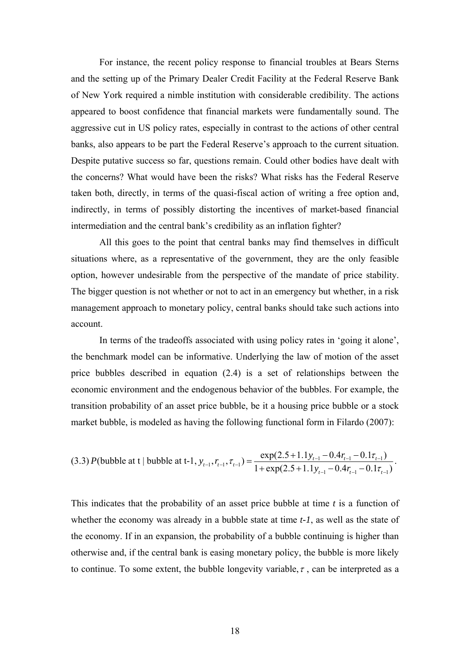For instance, the recent policy response to financial troubles at Bears Sterns and the setting up of the Primary Dealer Credit Facility at the Federal Reserve Bank of New York required a nimble institution with considerable credibility. The actions appeared to boost confidence that financial markets were fundamentally sound. The aggressive cut in US policy rates, especially in contrast to the actions of other central banks, also appears to be part the Federal Reserve's approach to the current situation. Despite putative success so far, questions remain. Could other bodies have dealt with the concerns? What would have been the risks? What risks has the Federal Reserve taken both, directly, in terms of the quasi-fiscal action of writing a free option and, indirectly, in terms of possibly distorting the incentives of market-based financial intermediation and the central bank's credibility as an inflation fighter?

All this goes to the point that central banks may find themselves in difficult situations where, as a representative of the government, they are the only feasible option, however undesirable from the perspective of the mandate of price stability. The bigger question is not whether or not to act in an emergency but whether, in a risk management approach to monetary policy, central banks should take such actions into account.

In terms of the tradeoffs associated with using policy rates in 'going it alone', the benchmark model can be informative. Underlying the law of motion of the asset price bubbles described in equation (2.4) is a set of relationships between the economic environment and the endogenous behavior of the bubbles. For example, the transition probability of an asset price bubble, be it a housing price bubble or a stock market bubble, is modeled as having the following functional form in Filardo (2007):

$$
(3.3) P(\text{bubble at t } | \text{ bubble at t-1}, y_{t-1}, r_{t-1}, \tau_{t-1}) = \frac{\exp(2.5+1.1y_{t-1}-0.4r_{t-1}-0.1\tau_{t-1})}{1+\exp(2.5+1.1y_{t-1}-0.4r_{t-1}-0.1\tau_{t-1})}.
$$

This indicates that the probability of an asset price bubble at time *t* is a function of whether the economy was already in a bubble state at time *t-1*, as well as the state of the economy. If in an expansion, the probability of a bubble continuing is higher than otherwise and, if the central bank is easing monetary policy, the bubble is more likely to continue. To some extent, the bubble longevity variable,  $\tau$ , can be interpreted as a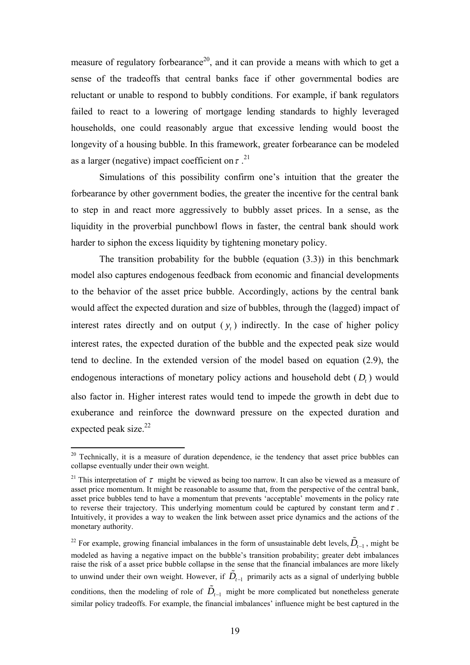measure of regulatory forbearance<sup>20</sup>, and it can provide a means with which to get a sense of the tradeoffs that central banks face if other governmental bodies are reluctant or unable to respond to bubbly conditions. For example, if bank regulators failed to react to a lowering of mortgage lending standards to highly leveraged households, one could reasonably argue that excessive lending would boost the longevity of a housing bubble. In this framework, greater forbearance can be modeled as a larger (negative) impact coefficient on  $\tau$ .<sup>21</sup>

 Simulations of this possibility confirm one's intuition that the greater the forbearance by other government bodies, the greater the incentive for the central bank to step in and react more aggressively to bubbly asset prices. In a sense, as the liquidity in the proverbial punchbowl flows in faster, the central bank should work harder to siphon the excess liquidity by tightening monetary policy.

The transition probability for the bubble (equation  $(3.3)$ ) in this benchmark model also captures endogenous feedback from economic and financial developments to the behavior of the asset price bubble. Accordingly, actions by the central bank would affect the expected duration and size of bubbles, through the (lagged) impact of interest rates directly and on output  $(y)$  indirectly. In the case of higher policy interest rates, the expected duration of the bubble and the expected peak size would tend to decline. In the extended version of the model based on equation (2.9), the endogenous interactions of monetary policy actions and household debt  $(D<sub>r</sub>)$  would also factor in. Higher interest rates would tend to impede the growth in debt due to exuberance and reinforce the downward pressure on the expected duration and expected peak size.<sup>22</sup>

<u>.</u>

 $20$  Technically, it is a measure of duration dependence, ie the tendency that asset price bubbles can collapse eventually under their own weight.

<sup>&</sup>lt;sup>21</sup> This interpretation of  $\tau$  might be viewed as being too narrow. It can also be viewed as a measure of asset price momentum. It might be reasonable to assume that, from the perspective of the central bank, asset price bubbles tend to have a momentum that prevents 'acceptable' movements in the policy rate to reverse their trajectory. This underlying momentum could be captured by constant term and  $\tau$ . Intuitively, it provides a way to weaken the link between asset price dynamics and the actions of the monetary authority.

<sup>&</sup>lt;sup>22</sup> For example, growing financial imbalances in the form of unsustainable debt levels,  $\tilde{D}_{t-1}$ , might be modeled as having a negative impact on the bubble's transition probability; greater debt imbalances raise the risk of a asset price bubble collapse in the sense that the financial imbalances are more likely to unwind under their own weight. However, if  $D_{t-1}$  primarily acts as a signal of underlying bubble conditions, then the modeling of role of  $\tilde{D}_{t-1}$  might be more complicated but nonetheless generate similar policy tradeoffs. For example, the financial imbalances' influence might be best captured in the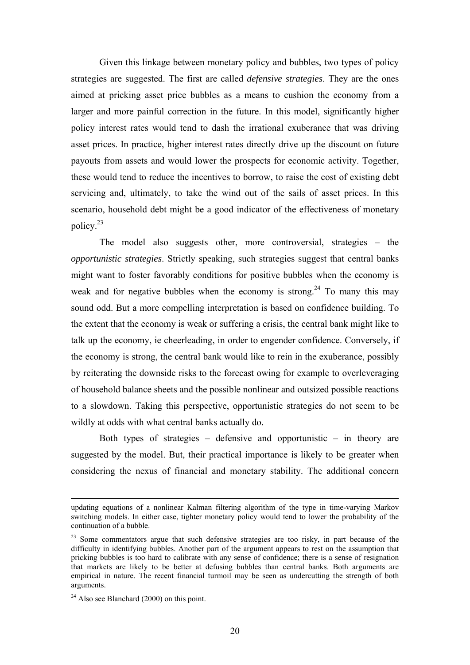Given this linkage between monetary policy and bubbles, two types of policy strategies are suggested. The first are called *defensive strategies*. They are the ones aimed at pricking asset price bubbles as a means to cushion the economy from a larger and more painful correction in the future. In this model, significantly higher policy interest rates would tend to dash the irrational exuberance that was driving asset prices. In practice, higher interest rates directly drive up the discount on future payouts from assets and would lower the prospects for economic activity. Together, these would tend to reduce the incentives to borrow, to raise the cost of existing debt servicing and, ultimately, to take the wind out of the sails of asset prices. In this scenario, household debt might be a good indicator of the effectiveness of monetary policy.23

The model also suggests other, more controversial, strategies – the *opportunistic strategies*. Strictly speaking, such strategies suggest that central banks might want to foster favorably conditions for positive bubbles when the economy is weak and for negative bubbles when the economy is strong.<sup>24</sup> To many this may sound odd. But a more compelling interpretation is based on confidence building. To the extent that the economy is weak or suffering a crisis, the central bank might like to talk up the economy, ie cheerleading, in order to engender confidence. Conversely, if the economy is strong, the central bank would like to rein in the exuberance, possibly by reiterating the downside risks to the forecast owing for example to overleveraging of household balance sheets and the possible nonlinear and outsized possible reactions to a slowdown. Taking this perspective, opportunistic strategies do not seem to be wildly at odds with what central banks actually do.

Both types of strategies – defensive and opportunistic – in theory are suggested by the model. But, their practical importance is likely to be greater when considering the nexus of financial and monetary stability. The additional concern

updating equations of a nonlinear Kalman filtering algorithm of the type in time-varying Markov switching models. In either case, tighter monetary policy would tend to lower the probability of the continuation of a bubble.

<sup>&</sup>lt;sup>23</sup> Some commentators argue that such defensive strategies are too risky, in part because of the difficulty in identifying bubbles. Another part of the argument appears to rest on the assumption that pricking bubbles is too hard to calibrate with any sense of confidence; there is a sense of resignation that markets are likely to be better at defusing bubbles than central banks. Both arguments are empirical in nature. The recent financial turmoil may be seen as undercutting the strength of both arguments.

 $24$  Also see Blanchard (2000) on this point.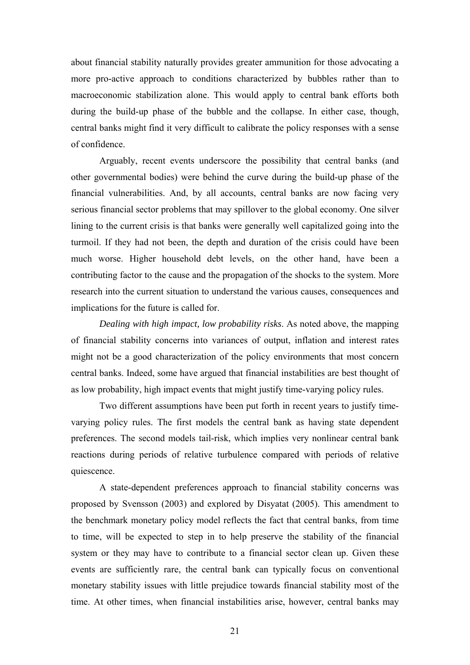about financial stability naturally provides greater ammunition for those advocating a more pro-active approach to conditions characterized by bubbles rather than to macroeconomic stabilization alone. This would apply to central bank efforts both during the build-up phase of the bubble and the collapse. In either case, though, central banks might find it very difficult to calibrate the policy responses with a sense of confidence.

Arguably, recent events underscore the possibility that central banks (and other governmental bodies) were behind the curve during the build-up phase of the financial vulnerabilities. And, by all accounts, central banks are now facing very serious financial sector problems that may spillover to the global economy. One silver lining to the current crisis is that banks were generally well capitalized going into the turmoil. If they had not been, the depth and duration of the crisis could have been much worse. Higher household debt levels, on the other hand, have been a contributing factor to the cause and the propagation of the shocks to the system. More research into the current situation to understand the various causes, consequences and implications for the future is called for.

*Dealing with high impact, low probability risks*. As noted above, the mapping of financial stability concerns into variances of output, inflation and interest rates might not be a good characterization of the policy environments that most concern central banks. Indeed, some have argued that financial instabilities are best thought of as low probability, high impact events that might justify time-varying policy rules.

Two different assumptions have been put forth in recent years to justify timevarying policy rules. The first models the central bank as having state dependent preferences. The second models tail-risk, which implies very nonlinear central bank reactions during periods of relative turbulence compared with periods of relative quiescence.

A state-dependent preferences approach to financial stability concerns was proposed by Svensson (2003) and explored by Disyatat (2005). This amendment to the benchmark monetary policy model reflects the fact that central banks, from time to time, will be expected to step in to help preserve the stability of the financial system or they may have to contribute to a financial sector clean up. Given these events are sufficiently rare, the central bank can typically focus on conventional monetary stability issues with little prejudice towards financial stability most of the time. At other times, when financial instabilities arise, however, central banks may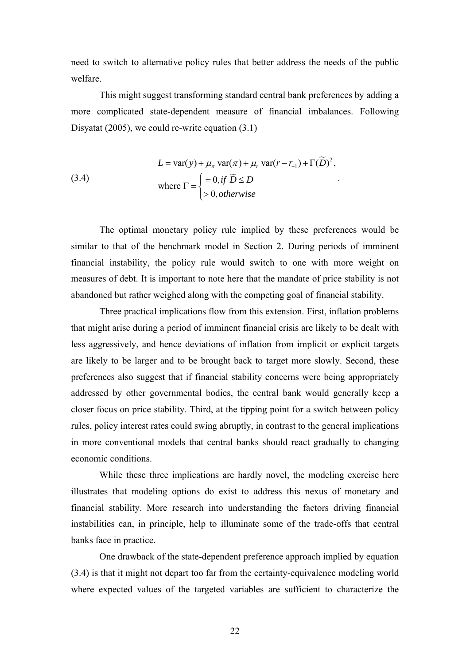need to switch to alternative policy rules that better address the needs of the public welfare.

This might suggest transforming standard central bank preferences by adding a more complicated state-dependent measure of financial imbalances. Following Disyatat (2005), we could re-write equation (3.1)

(3.4)  
\n
$$
L = \text{var}(y) + \mu_{\pi} \text{ var}(\pi) + \mu_{r} \text{ var}(r - r_{-1}) + \Gamma(\widetilde{D})^{2},
$$
\nwhere  $\Gamma = \begin{cases} = 0, \text{if } \widetilde{D} \le \overline{D} \\ > 0, \text{otherwise} \end{cases}$ .

The optimal monetary policy rule implied by these preferences would be similar to that of the benchmark model in Section 2. During periods of imminent financial instability, the policy rule would switch to one with more weight on measures of debt. It is important to note here that the mandate of price stability is not abandoned but rather weighed along with the competing goal of financial stability.

Three practical implications flow from this extension. First, inflation problems that might arise during a period of imminent financial crisis are likely to be dealt with less aggressively, and hence deviations of inflation from implicit or explicit targets are likely to be larger and to be brought back to target more slowly. Second, these preferences also suggest that if financial stability concerns were being appropriately addressed by other governmental bodies, the central bank would generally keep a closer focus on price stability. Third, at the tipping point for a switch between policy rules, policy interest rates could swing abruptly, in contrast to the general implications in more conventional models that central banks should react gradually to changing economic conditions.

While these three implications are hardly novel, the modeling exercise here illustrates that modeling options do exist to address this nexus of monetary and financial stability. More research into understanding the factors driving financial instabilities can, in principle, help to illuminate some of the trade-offs that central banks face in practice.

One drawback of the state-dependent preference approach implied by equation (3.4) is that it might not depart too far from the certainty-equivalence modeling world where expected values of the targeted variables are sufficient to characterize the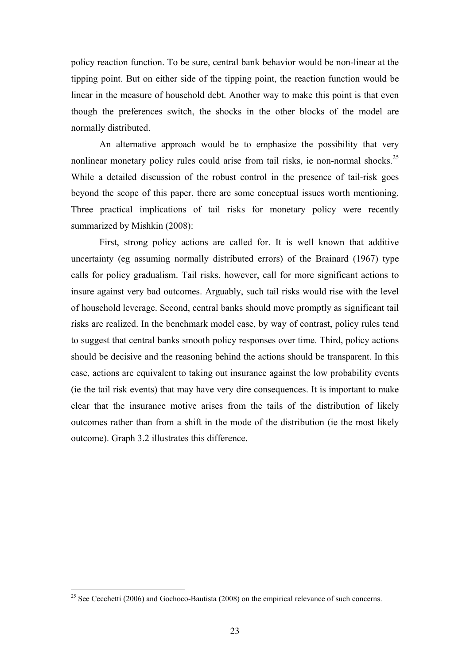policy reaction function. To be sure, central bank behavior would be non-linear at the tipping point. But on either side of the tipping point, the reaction function would be linear in the measure of household debt. Another way to make this point is that even though the preferences switch, the shocks in the other blocks of the model are normally distributed.

An alternative approach would be to emphasize the possibility that very nonlinear monetary policy rules could arise from tail risks, ie non-normal shocks.<sup>25</sup> While a detailed discussion of the robust control in the presence of tail-risk goes beyond the scope of this paper, there are some conceptual issues worth mentioning. Three practical implications of tail risks for monetary policy were recently summarized by Mishkin (2008):

First, strong policy actions are called for. It is well known that additive uncertainty (eg assuming normally distributed errors) of the Brainard (1967) type calls for policy gradualism. Tail risks, however, call for more significant actions to insure against very bad outcomes. Arguably, such tail risks would rise with the level of household leverage. Second, central banks should move promptly as significant tail risks are realized. In the benchmark model case, by way of contrast, policy rules tend to suggest that central banks smooth policy responses over time. Third, policy actions should be decisive and the reasoning behind the actions should be transparent. In this case, actions are equivalent to taking out insurance against the low probability events (ie the tail risk events) that may have very dire consequences. It is important to make clear that the insurance motive arises from the tails of the distribution of likely outcomes rather than from a shift in the mode of the distribution (ie the most likely outcome). Graph 3.2 illustrates this difference.

<sup>&</sup>lt;sup>25</sup> See Cecchetti (2006) and Gochoco-Bautista (2008) on the empirical relevance of such concerns.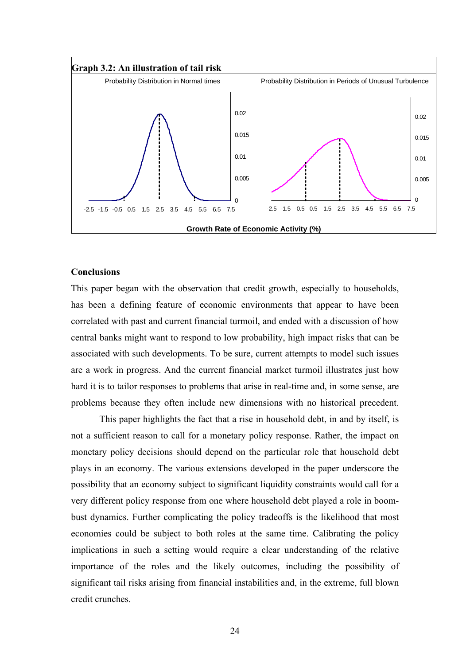

## **Conclusions**

This paper began with the observation that credit growth, especially to households, has been a defining feature of economic environments that appear to have been correlated with past and current financial turmoil, and ended with a discussion of how central banks might want to respond to low probability, high impact risks that can be associated with such developments. To be sure, current attempts to model such issues are a work in progress. And the current financial market turmoil illustrates just how hard it is to tailor responses to problems that arise in real-time and, in some sense, are problems because they often include new dimensions with no historical precedent.

 This paper highlights the fact that a rise in household debt, in and by itself, is not a sufficient reason to call for a monetary policy response. Rather, the impact on monetary policy decisions should depend on the particular role that household debt plays in an economy. The various extensions developed in the paper underscore the possibility that an economy subject to significant liquidity constraints would call for a very different policy response from one where household debt played a role in boombust dynamics. Further complicating the policy tradeoffs is the likelihood that most economies could be subject to both roles at the same time. Calibrating the policy implications in such a setting would require a clear understanding of the relative importance of the roles and the likely outcomes, including the possibility of significant tail risks arising from financial instabilities and, in the extreme, full blown credit crunches.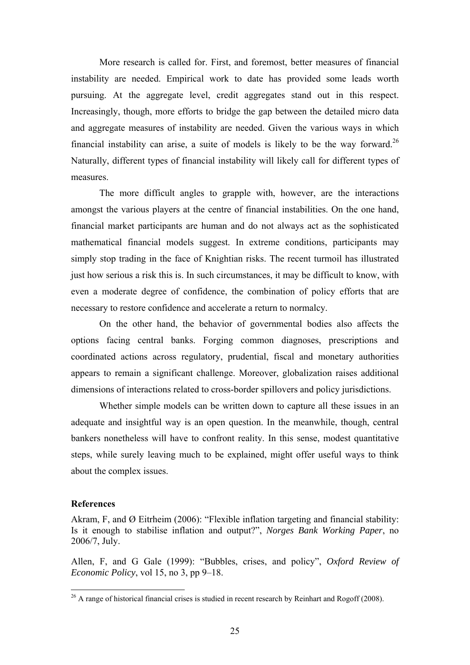More research is called for. First, and foremost, better measures of financial instability are needed. Empirical work to date has provided some leads worth pursuing. At the aggregate level, credit aggregates stand out in this respect. Increasingly, though, more efforts to bridge the gap between the detailed micro data and aggregate measures of instability are needed. Given the various ways in which financial instability can arise, a suite of models is likely to be the way forward.<sup>26</sup> Naturally, different types of financial instability will likely call for different types of measures.

The more difficult angles to grapple with, however, are the interactions amongst the various players at the centre of financial instabilities. On the one hand, financial market participants are human and do not always act as the sophisticated mathematical financial models suggest. In extreme conditions, participants may simply stop trading in the face of Knightian risks. The recent turmoil has illustrated just how serious a risk this is. In such circumstances, it may be difficult to know, with even a moderate degree of confidence, the combination of policy efforts that are necessary to restore confidence and accelerate a return to normalcy.

On the other hand, the behavior of governmental bodies also affects the options facing central banks. Forging common diagnoses, prescriptions and coordinated actions across regulatory, prudential, fiscal and monetary authorities appears to remain a significant challenge. Moreover, globalization raises additional dimensions of interactions related to cross-border spillovers and policy jurisdictions.

Whether simple models can be written down to capture all these issues in an adequate and insightful way is an open question. In the meanwhile, though, central bankers nonetheless will have to confront reality. In this sense, modest quantitative steps, while surely leaving much to be explained, might offer useful ways to think about the complex issues.

#### **References**

1

Akram, F, and Ø Eitrheim (2006): "Flexible inflation targeting and financial stability: Is it enough to stabilise inflation and output?", *Norges Bank Working Paper*, no 2006/7, July.

Allen, F, and G Gale (1999): "Bubbles, crises, and policy", *Oxford Review of Economic Policy*, vol 15, no 3, pp 9–18.

 $^{26}$  A range of historical financial crises is studied in recent research by Reinhart and Rogoff (2008).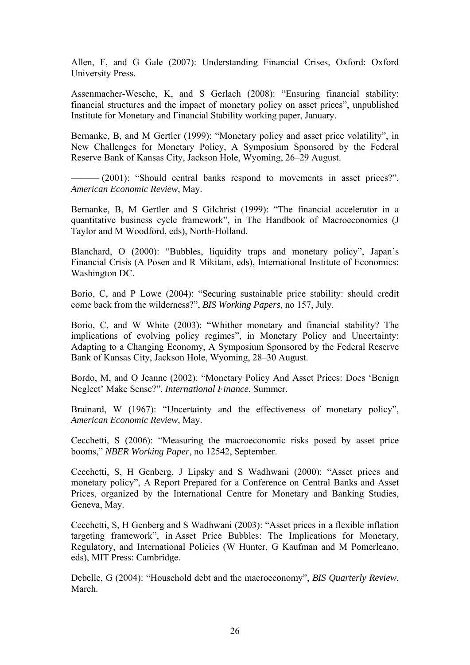Allen, F, and G Gale (2007): Understanding Financial Crises, Oxford: Oxford University Press.

Assenmacher-Wesche, K, and S Gerlach (2008): "Ensuring financial stability: financial structures and the impact of monetary policy on asset prices", unpublished Institute for Monetary and Financial Stability working paper, January.

Bernanke, B, and M Gertler (1999): "Monetary policy and asset price volatility", in New Challenges for Monetary Policy, A Symposium Sponsored by the Federal Reserve Bank of Kansas City, Jackson Hole, Wyoming, 26–29 August.

 $-$  (2001): "Should central banks respond to movements in asset prices?", *American Economic Review*, May.

Bernanke, B, M Gertler and S Gilchrist (1999): "The financial accelerator in a quantitative business cycle framework", in The Handbook of Macroeconomics (J Taylor and M Woodford, eds), North-Holland.

Blanchard, O (2000): "Bubbles, liquidity traps and monetary policy", Japan's Financial Crisis (A Posen and R Mikitani, eds), International Institute of Economics: Washington DC.

Borio, C, and P Lowe (2004): "Securing sustainable price stability: should credit come back from the wilderness?", *BIS Working Papers*, no 157, July.

Borio, C, and W White (2003): "Whither monetary and financial stability? The implications of evolving policy regimes", in Monetary Policy and Uncertainty: Adapting to a Changing Economy, A Symposium Sponsored by the Federal Reserve Bank of Kansas City, Jackson Hole, Wyoming, 28–30 August.

Bordo, M, and O Jeanne (2002): "Monetary Policy And Asset Prices: Does 'Benign Neglect' Make Sense?", *International Finance*, Summer.

Brainard, W (1967): "Uncertainty and the effectiveness of monetary policy", *American Economic Review*, May.

Cecchetti, S (2006): "Measuring the macroeconomic risks posed by asset price booms," *NBER Working Paper*, no 12542, September.

Cecchetti, S, H Genberg, J Lipsky and S Wadhwani (2000): "Asset prices and monetary policy", A Report Prepared for a Conference on Central Banks and Asset Prices, organized by the International Centre for Monetary and Banking Studies, Geneva, May.

Cecchetti, S, H Genberg and S Wadhwani (2003): "Asset prices in a flexible inflation targeting framework", in Asset Price Bubbles: The Implications for Monetary, Regulatory, and International Policies (W Hunter, G Kaufman and M Pomerleano, eds), MIT Press: Cambridge.

Debelle, G (2004): "Household debt and the macroeconomy", *BIS Quarterly Review*, March.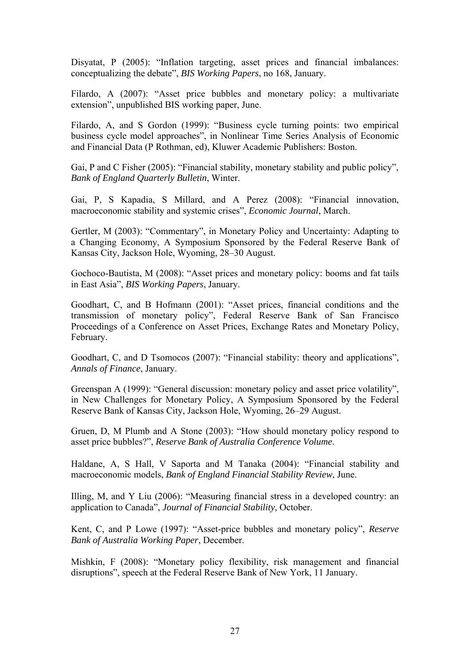Disyatat, P (2005): "Inflation targeting, asset prices and financial imbalances: conceptualizing the debate", *BIS Working Papers*, no 168, January.

Filardo, A (2007): "Asset price bubbles and monetary policy: a multivariate extension", unpublished BIS working paper, June.

Filardo, A, and S Gordon (1999): "Business cycle turning points: two empirical business cycle model approaches", in Nonlinear Time Series Analysis of Economic and Financial Data (P Rothman, ed), Kluwer Academic Publishers: Boston.

Gai, P and C Fisher (2005): "Financial stability, monetary stability and public policy", *Bank of England Quarterly Bulletin*, Winter.

Gai, P, S Kapadia, S Millard, and A Perez (2008): "Financial innovation, macroeconomic stability and systemic crises", *Economic Journal*, March.

Gertler, M (2003): "Commentary", in Monetary Policy and Uncertainty: Adapting to a Changing Economy, A Symposium Sponsored by the Federal Reserve Bank of Kansas City, Jackson Hole, Wyoming, 28–30 August.

Gochoco-Bautista, M (2008): "Asset prices and monetary policy: booms and fat tails in East Asia", *BIS Working Papers*, January.

Goodhart, C, and B Hofmann (2001): "Asset prices, financial conditions and the transmission of monetary policy", Federal Reserve Bank of San Francisco Proceedings of a Conference on Asset Prices, Exchange Rates and Monetary Policy, February.

Goodhart, C, and D Tsomocos (2007): "Financial stability: theory and applications", *Annals of Finance*, January.

Greenspan A (1999): "General discussion: monetary policy and asset price volatility", in New Challenges for Monetary Policy, A Symposium Sponsored by the Federal Reserve Bank of Kansas City, Jackson Hole, Wyoming, 26–29 August.

Gruen, D, M Plumb and A Stone (2003): "How should monetary policy respond to asset price bubbles?", *Reserve Bank of Australia Conference Volume*.

Haldane, A, S Hall, V Saporta and M Tanaka (2004): "Financial stability and macroeconomic models, *Bank of England Financial Stability Review*, June.

Illing, M, and Y Liu (2006): "Measuring financial stress in a developed country: an application to Canada", *Journal of Financial Stability*, October.

Kent, C, and P Lowe (1997): "Asset-price bubbles and monetary policy", *Reserve Bank of Australia Working Paper*, December.

Mishkin, F (2008): "Monetary policy flexibility, risk management and financial disruptions", speech at the Federal Reserve Bank of New York, 11 January.